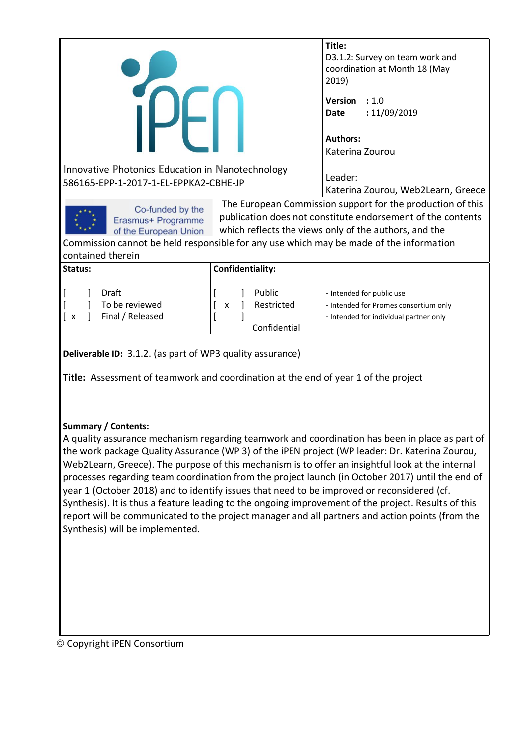| しト                                                                                                                                                                                                                                                    |                  | Title:<br>D3.1.2: Survey on team work and<br>coordination at Month 18 (May<br>2019) |  |  |
|-------------------------------------------------------------------------------------------------------------------------------------------------------------------------------------------------------------------------------------------------------|------------------|-------------------------------------------------------------------------------------|--|--|
|                                                                                                                                                                                                                                                       |                  | Version<br>: 1.0<br>: 11/09/2019<br>Date                                            |  |  |
|                                                                                                                                                                                                                                                       |                  | <b>Authors:</b><br>Katerina Zourou                                                  |  |  |
| Innovative Photonics Education in Nanotechnology<br>586165-EPP-1-2017-1-EL-EPPKA2-CBHE-JP                                                                                                                                                             |                  | Leader:<br>Katerina Zourou, Web2Learn, Greece                                       |  |  |
| The European Commission support for the production of this<br>Co-funded by the<br>publication does not constitute endorsement of the contents<br>Erasmus+ Programme<br>which reflects the views only of the authors, and the<br>of the European Union |                  |                                                                                     |  |  |
| Commission cannot be held responsible for any use which may be made of the information<br>contained therein                                                                                                                                           |                  |                                                                                     |  |  |
| Status:                                                                                                                                                                                                                                               | Confidentiality: |                                                                                     |  |  |
| Draft<br>Public<br>- Intended for public use<br>To be reviewed<br>Restricted<br>- Intended for Promes consortium only<br>X<br>Final / Released<br>- Intended for individual partner only<br>Ιx<br>Confidential                                        |                  |                                                                                     |  |  |
| Deliverable ID: 3.1.2. (as part of WP3 quality assurance)                                                                                                                                                                                             |                  |                                                                                     |  |  |

**Title:** Assessment of teamwork and coordination at the end of year 1 of the project

#### **Summary / Contents:**

A quality assurance mechanism regarding teamwork and coordination has been in place as part of the work package Quality Assurance (WP 3) of the iPEN project (WP leader: Dr. Katerina Zourou, Web2Learn, Greece). The purpose of this mechanism is to offer an insightful look at the internal processes regarding team coordination from the project launch (in October 2017) until the end of year 1 (October 2018) and to identify issues that need to be improved or reconsidered (cf. Synthesis). It is thus a feature leading to the ongoing improvement of the project. Results of this report will be communicated to the project manager and all partners and action points (from the Synthesis) will be implemented.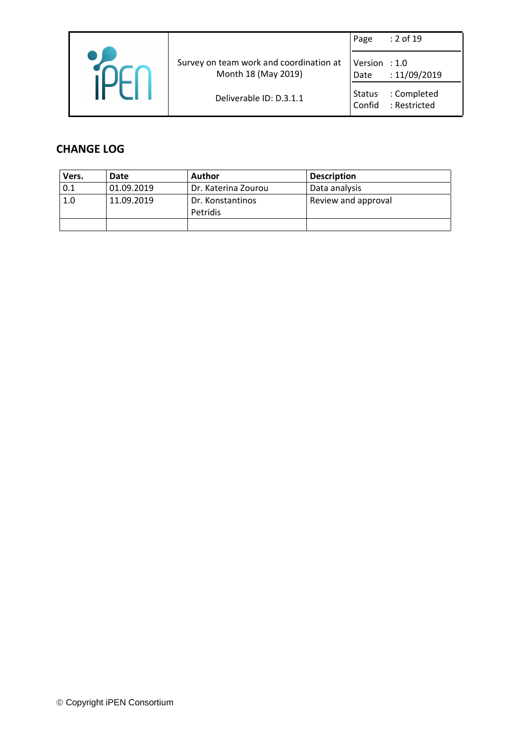|                                                                | Page                    | : 2 of 19                   |
|----------------------------------------------------------------|-------------------------|-----------------------------|
| Survey on team work and coordination at<br>Month 18 (May 2019) | Version : $1.0$<br>Date | : 11/09/2019                |
| Deliverable ID: D.3.1.1                                        | <b>Status</b><br>Confid | : Completed<br>: Restricted |

## **CHANGE LOG**

| Vers. | Date       | Author              | <b>Description</b>  |
|-------|------------|---------------------|---------------------|
| 0.1   | 01.09.2019 | Dr. Katerina Zourou | Data analysis       |
| 1.0   | 11.09.2019 | Dr. Konstantinos    | Review and approval |
|       |            | Petridis            |                     |
|       |            |                     |                     |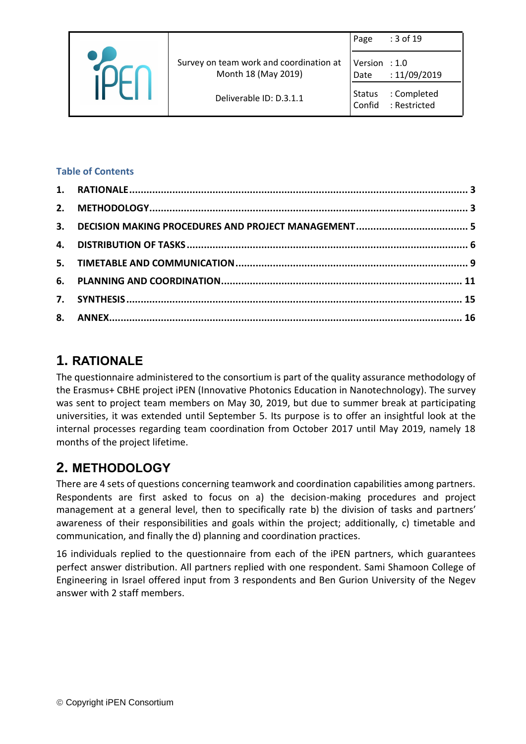|                                                                | Page                    | : 3 of 19                   |
|----------------------------------------------------------------|-------------------------|-----------------------------|
| Survey on team work and coordination at<br>Month 18 (May 2019) | Version : 1.0<br>Date   | : 11/09/2019                |
| Deliverable ID: D.3.1.1                                        | <b>Status</b><br>Confid | : Completed<br>: Restricted |

#### **Table of Contents**

# <span id="page-2-0"></span>**1. RATIONALE**

The questionnaire administered to the consortium is part of the quality assurance methodology of the Erasmus+ CBHE project iPEN (Innovative Photonics Education in Nanotechnology). The survey was sent to project team members on May 30, 2019, but due to summer break at participating universities, it was extended until September 5. Its purpose is to offer an insightful look at the internal processes regarding team coordination from October 2017 until May 2019, namely 18 months of the project lifetime.

# <span id="page-2-1"></span>**2. METHODOLOGY**

There are 4 sets of questions concerning teamwork and coordination capabilities among partners. Respondents are first asked to focus on a) the decision-making procedures and project management at a general level, then to specifically rate b) the division of tasks and partners' awareness of their responsibilities and goals within the project; additionally, c) timetable and communication, and finally the d) planning and coordination practices.

16 individuals replied to the questionnaire from each of the iPEN partners, which guarantees perfect answer distribution. All partners replied with one respondent. Sami Shamoon College of Engineering in Israel offered input from 3 respondents and Ben Gurion University of the Negev answer with 2 staff members.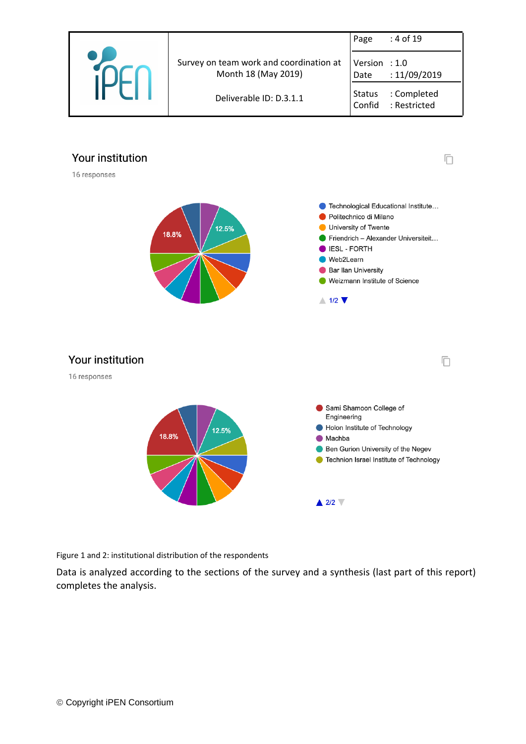

 $\Box$ 



16 responses



Figure 1 and 2: institutional distribution of the respondents

Data is analyzed according to the sections of the survey and a synthesis (last part of this report) completes the analysis.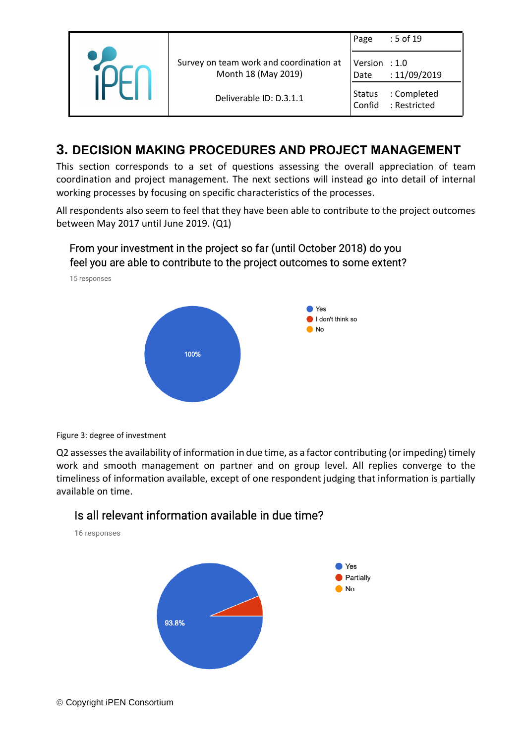|                                                                | Page                    | : 5 of 19                   |
|----------------------------------------------------------------|-------------------------|-----------------------------|
| Survey on team work and coordination at<br>Month 18 (May 2019) | Version $: 1.0$<br>Date | : 11/09/2019                |
| Deliverable ID: D.3.1.1                                        | <b>Status</b><br>Confid | : Completed<br>: Restricted |

## <span id="page-4-0"></span>**3. DECISION MAKING PROCEDURES AND PROJECT MANAGEMENT**

This section corresponds to a set of questions assessing the overall appreciation of team coordination and project management. The next sections will instead go into detail of internal working processes by focusing on specific characteristics of the processes.

All respondents also seem to feel that they have been able to contribute to the project outcomes between May 2017 until June 2019. (Q1)



Figure 3: degree of investment

Q2 assesses the availability of information in due time, as a factor contributing (or impeding) timely work and smooth management on partner and on group level. All replies converge to the timeliness of information available, except of one respondent judging that information is partially available on time.

> Yes Partially  $\blacksquare$  No





93.8%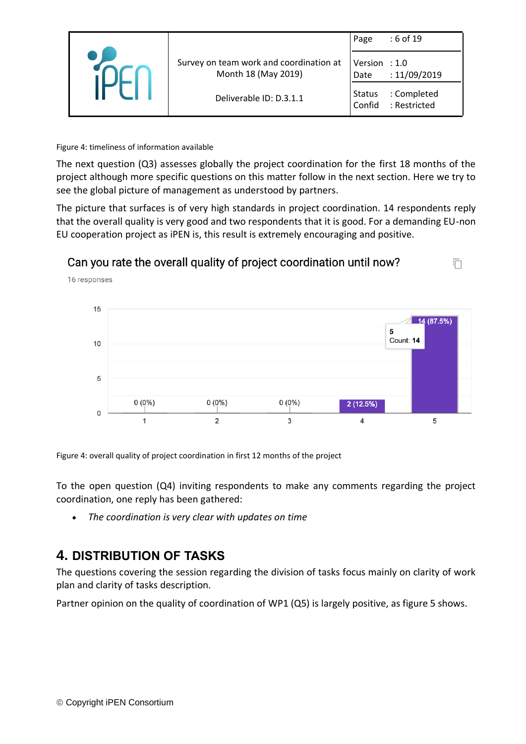|                                                                | Page                    | : 6 of 19                   |
|----------------------------------------------------------------|-------------------------|-----------------------------|
| Survey on team work and coordination at<br>Month 18 (May 2019) | Version : $1.0$<br>Date | :11/09/2019                 |
| Deliverable ID: D.3.1.1                                        | Status<br>Confid        | : Completed<br>: Restricted |

#### Figure 4: timeliness of information available

The next question (Q3) assesses globally the project coordination for the first 18 months of the project although more specific questions on this matter follow in the next section. Here we try to see the global picture of management as understood by partners.

The picture that surfaces is of very high standards in project coordination. 14 respondents reply that the overall quality is very good and two respondents that it is good. For a demanding EU-non EU cooperation project as iPEN is, this result is extremely encouraging and positive.

ħ



## Can you rate the overall quality of project coordination until now?

Figure 4: overall quality of project coordination in first 12 months of the project

To the open question (Q4) inviting respondents to make any comments regarding the project coordination, one reply has been gathered:

• *The coordination is very clear with updates on time*

## <span id="page-5-0"></span>**4. DISTRIBUTION OF TASKS**

The questions covering the session regarding the division of tasks focus mainly on clarity of work plan and clarity of tasks description.

Partner opinion on the quality of coordination of WP1 (Q5) is largely positive, as figure 5 shows.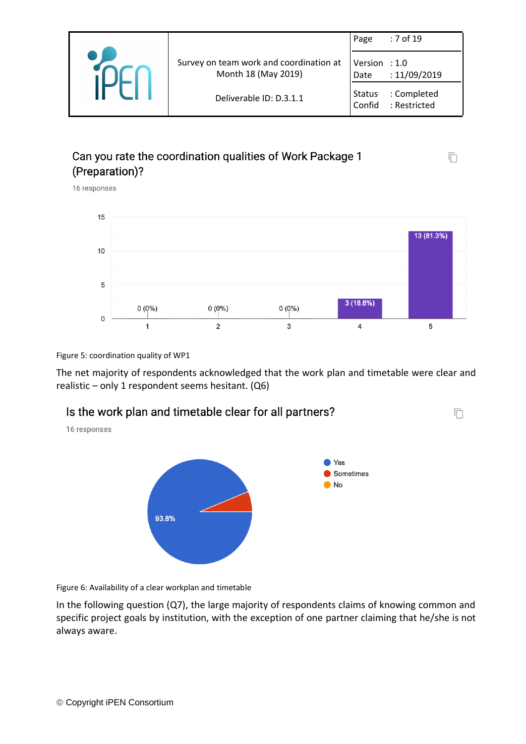|                                                                | Page                    | : 7 of 19                   |
|----------------------------------------------------------------|-------------------------|-----------------------------|
| Survey on team work and coordination at<br>Month 18 (May 2019) | Version $: 1.0$<br>Date | : 11/09/2019                |
| Deliverable ID: D.3.1.1                                        | <b>Status</b><br>Confid | : Completed<br>: Restricted |

## Can you rate the coordination qualities of Work Package 1 (Preparation)?

16 responses



Ō

戶

Figure 5: coordination quality of WP1

The net majority of respondents acknowledged that the work plan and timetable were clear and realistic – only 1 respondent seems hesitant.  $(Q6)$ 



Figure 6: Availability of a clear workplan and timetable

In the following question (Q7), the large majority of respondents claims of knowing common and specific project goals by institution, with the exception of one partner claiming that he/she is not always aware.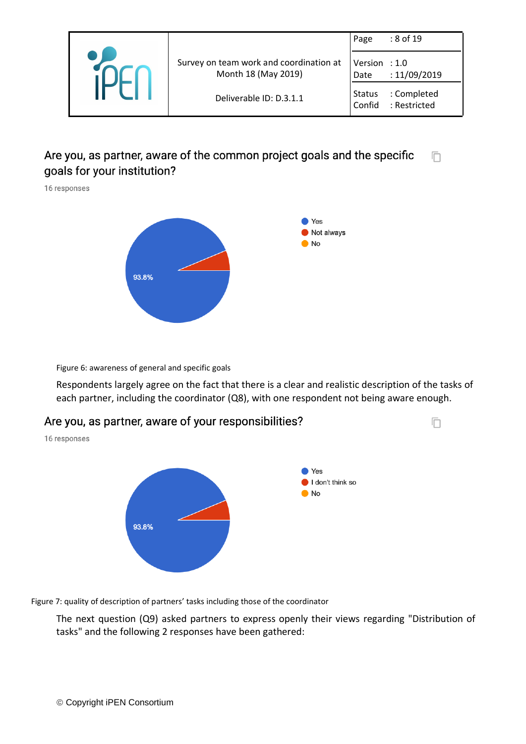|                                                                | Page                    | : 8 of 19                   |
|----------------------------------------------------------------|-------------------------|-----------------------------|
| Survey on team work and coordination at<br>Month 18 (May 2019) | Version $: 1.0$<br>Date | : 11/09/2019                |
| Deliverable ID: D.3.1.1                                        | <b>Status</b><br>Confid | : Completed<br>: Restricted |

#### Are you, as partner, aware of the common project goals and the specific 戶 goals for your institution?

16 responses



Figure 6: awareness of general and specific goals

Respondents largely agree on the fact that there is a clear and realistic description of the tasks of each partner, including the coordinator (Q8), with one respondent not being aware enough.



Figure 7: quality of description of partners' tasks including those of the coordinator

The next question (Q9) asked partners to express openly their views regarding "Distribution of tasks" and the following 2 responses have been gathered: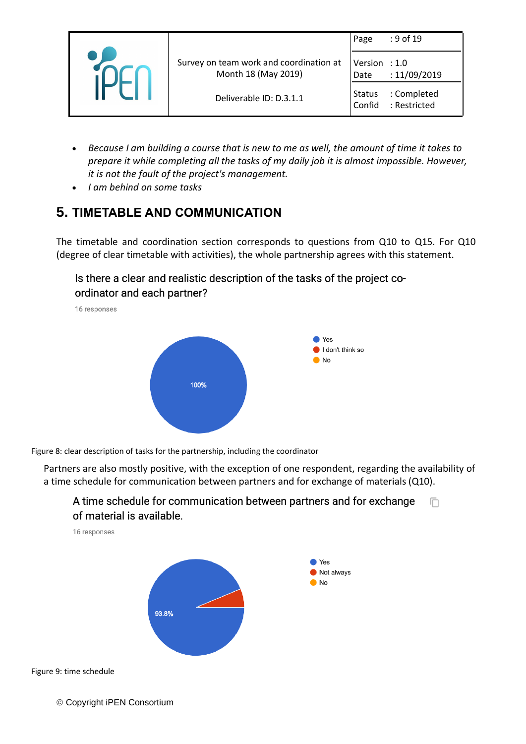|  |                                                                | Page                    | : 9 of 19                   |
|--|----------------------------------------------------------------|-------------------------|-----------------------------|
|  | Survey on team work and coordination at<br>Month 18 (May 2019) | Version $: 1.0$<br>Date | : 11/09/2019                |
|  | Deliverable ID: D.3.1.1                                        | <b>Status</b><br>Confid | : Completed<br>: Restricted |

- *Because I am building a course that is new to me as well, the amount of time it takes to prepare it while completing all the tasks of my daily job it is almost impossible. However, it is not the fault of the project's management.*
- *I am behind on some tasks*

# <span id="page-8-0"></span>**5. TIMETABLE AND COMMUNICATION**

The timetable and coordination section corresponds to questions from Q10 to Q15. For Q10 (degree of clear timetable with activities), the whole partnership agrees with this statement.

Is there a clear and realistic description of the tasks of the project coordinator and each partner?

16 responses



Figure 8: clear description of tasks for the partnership, including the coordinator

Partners are also mostly positive, with the exception of one respondent, regarding the availability of a time schedule for communication between partners and for exchange of materials (Q10).





© Copyright iPEN Consortium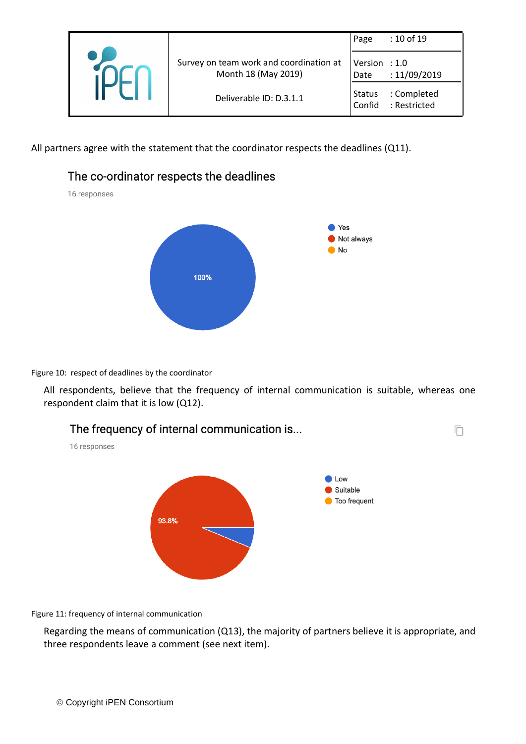|  |                                                                | Page                    | : 10 of 19                  |
|--|----------------------------------------------------------------|-------------------------|-----------------------------|
|  | Survey on team work and coordination at<br>Month 18 (May 2019) | Version $: 1.0$<br>Date | : 11/09/2019                |
|  | Deliverable ID: D.3.1.1                                        | <b>Status</b><br>Confid | : Completed<br>: Restricted |

All partners agree with the statement that the coordinator respects the deadlines (Q11).



Figure 10: respect of deadlines by the coordinator

All respondents, believe that the frequency of internal communication is suitable, whereas one respondent claim that it is low (Q12).



Figure 11: frequency of internal communication

Regarding the means of communication (Q13), the majority of partners believe it is appropriate, and three respondents leave a comment (see next item).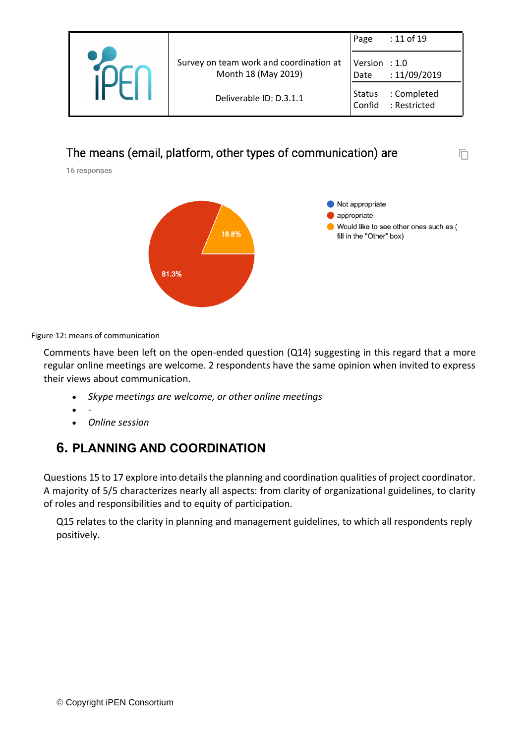|  |                                                                | Page                    | : 11 of 19                  |
|--|----------------------------------------------------------------|-------------------------|-----------------------------|
|  | Survey on team work and coordination at<br>Month 18 (May 2019) | Version $: 1.0$<br>Date | :11/09/2019                 |
|  | Deliverable ID: D.3.1.1                                        | Status<br>Confid        | : Completed<br>: Restricted |

## The means (email, platform, other types of communication) are

16 responses



m

Figure 12: means of communication

Comments have been left on the open-ended question (Q14) suggesting in this regard that a more regular online meetings are welcome. 2 respondents have the same opinion when invited to express their views about communication.

- *Skype meetings are welcome, or other online meetings*
- *-*
- *Online session*

## <span id="page-10-0"></span>**6. PLANNING AND COORDINATION**

Questions 15 to 17 explore into details the planning and coordination qualities of project coordinator. A majority of 5/5 characterizes nearly all aspects: from clarity of organizational guidelines, to clarity of roles and responsibilities and to equity of participation.

Q15 relates to the clarity in planning and management guidelines, to which all respondents reply positively.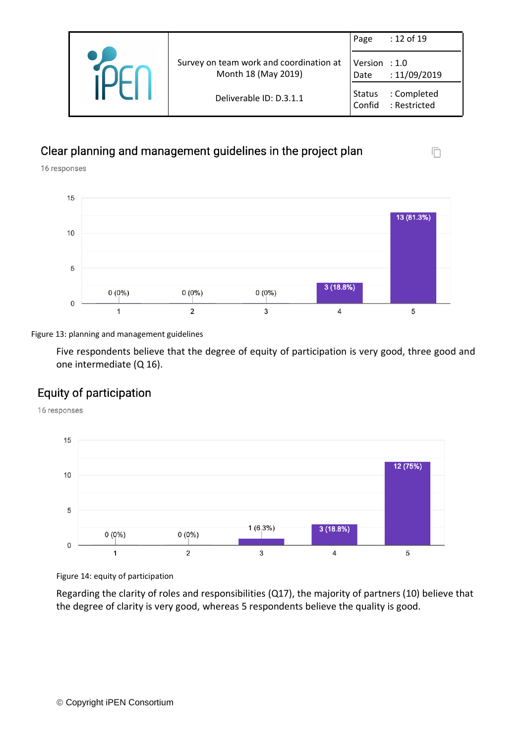|                                                                | Page                    | : 12 of 19                  |
|----------------------------------------------------------------|-------------------------|-----------------------------|
| Survey on team work and coordination at<br>Month 18 (May 2019) | Version $: 1.0$<br>Date | : 11/09/2019                |
| Deliverable ID: D.3.1.1                                        | Status<br>Confid        | : Completed<br>: Restricted |

n

## Clear planning and management guidelines in the project plan

16 responses



Figure 13: planning and management guidelines

Five respondents believe that the degree of equity of participation is very good, three good and one intermediate (Q 16).

## Equity of participation

16 responses



Figure 14: equity of participation

Regarding the clarity of roles and responsibilities (Q17), the majority of partners (10) believe that the degree of clarity is very good, whereas 5 respondents believe the quality is good.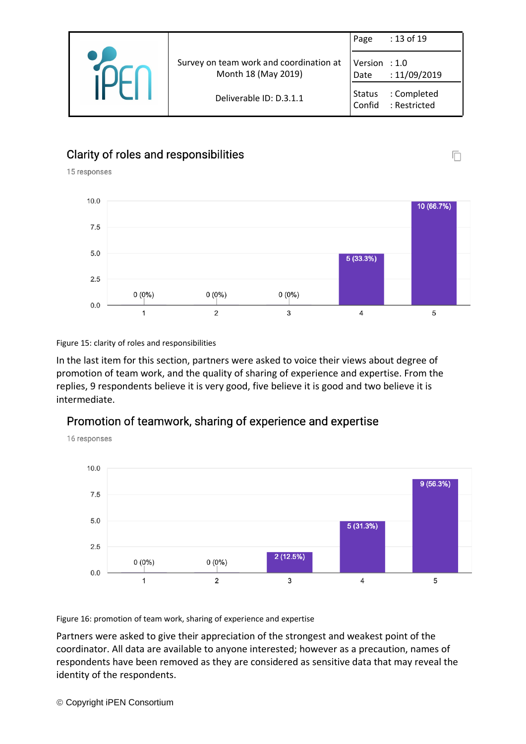|                                                                | Page             | : 13 of 19                       |
|----------------------------------------------------------------|------------------|----------------------------------|
| Survey on team work and coordination at<br>Month 18 (May 2019) | Version<br>Date  | $\therefore$ 1.0<br>: 11/09/2019 |
| Deliverable ID: D.3.1.1                                        | Status<br>Confid | : Completed<br>: Restricted      |

## Clarity of roles and responsibilities

15 responses



Figure 15: clarity of roles and responsibilities

In the last item for this section, partners were asked to voice their views about degree of promotion of team work, and the quality of sharing of experience and expertise. From the replies, 9 respondents believe it is very good, five believe it is good and two believe it is intermediate.

## Promotion of teamwork, sharing of experience and expertise



Figure 16: promotion of team work, sharing of experience and expertise

Partners were asked to give their appreciation of the strongest and weakest point of the coordinator. All data are available to anyone interested; however as a precaution, names of respondents have been removed as they are considered as sensitive data that may reveal the identity of the respondents.

n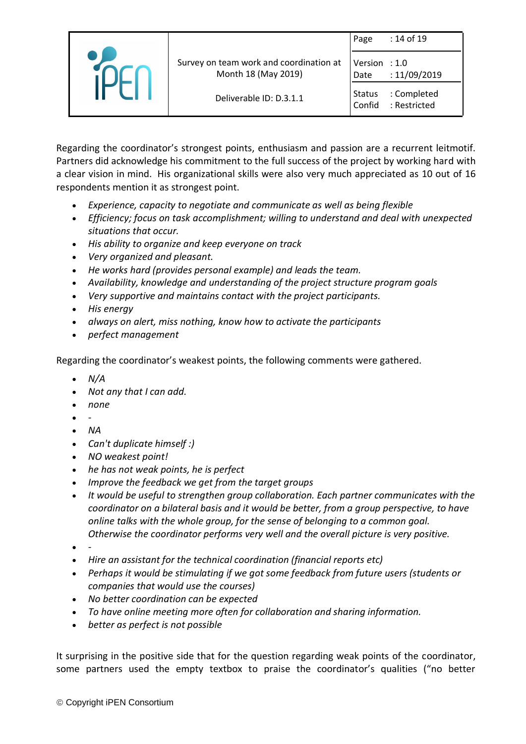|                                                                | Page                    | : 14 of 19                  |
|----------------------------------------------------------------|-------------------------|-----------------------------|
| Survey on team work and coordination at<br>Month 18 (May 2019) | Version $: 1.0$<br>Date | :11/09/2019                 |
| Deliverable ID: D.3.1.1                                        | <b>Status</b><br>Confid | : Completed<br>: Restricted |

Regarding the coordinator's strongest points, enthusiasm and passion are a recurrent leitmotif. Partners did acknowledge his commitment to the full success of the project by working hard with a clear vision in mind. His organizational skills were also very much appreciated as 10 out of 16 respondents mention it as strongest point.

- *Experience, capacity to negotiate and communicate as well as being flexible*
- *Efficiency; focus on task accomplishment; willing to understand and deal with unexpected situations that occur.*
- *His ability to organize and keep everyone on track*
- *Very organized and pleasant.*
- *He works hard (provides personal example) and leads the team.*
- *Availability, knowledge and understanding of the project structure program goals*
- *Very supportive and maintains contact with the project participants.*
- *His energy*
- *always on alert, miss nothing, know how to activate the participants*
- *perfect management*

Regarding the coordinator's weakest points, the following comments were gathered.

- *N/A*
- *Not any that I can add.*
- *none*
- *-*
- *NA*
- *Can't duplicate himself :)*
- *NO weakest point!*
- *he has not weak points, he is perfect*
- *Improve the feedback we get from the target groups*
- *It would be useful to strengthen group collaboration. Each partner communicates with the coordinator on a bilateral basis and it would be better, from a group perspective, to have online talks with the whole group, for the sense of belonging to a common goal. Otherwise the coordinator performs very well and the overall picture is very positive.*
- *-*
- *Hire an assistant for the technical coordination (financial reports etc)*
- *Perhaps it would be stimulating if we got some feedback from future users (students or companies that would use the courses)*
- *No better coordination can be expected*
- *To have online meeting more often for collaboration and sharing information.*
- *better as perfect is not possible*

It surprising in the positive side that for the question regarding weak points of the coordinator, some partners used the empty textbox to praise the coordinator's qualities ("no better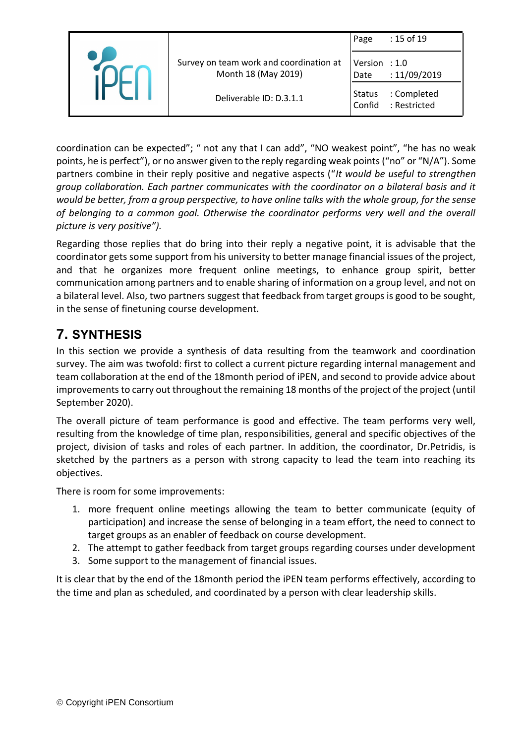|                                                                | Page                    | : 15 of 19                  |
|----------------------------------------------------------------|-------------------------|-----------------------------|
| Survey on team work and coordination at<br>Month 18 (May 2019) | Version $: 1.0$<br>Date | : 11/09/2019                |
| Deliverable ID: D.3.1.1                                        | <b>Status</b><br>Confid | : Completed<br>: Restricted |

coordination can be expected"; " not any that I can add", "NO weakest point", "he has no weak points, he is perfect"), or no answer given to the reply regarding weak points ("no" or "N/A"). Some partners combine in their reply positive and negative aspects ("*It would be useful to strengthen group collaboration. Each partner communicates with the coordinator on a bilateral basis and it would be better, from a group perspective, to have online talks with the whole group, for the sense of belonging to a common goal. Otherwise the coordinator performs very well and the overall picture is very positive").*

Regarding those replies that do bring into their reply a negative point, it is advisable that the coordinator gets some support from his university to better manage financial issues of the project, and that he organizes more frequent online meetings, to enhance group spirit, better communication among partners and to enable sharing of information on a group level, and not on a bilateral level. Also, two partners suggest that feedback from target groups is good to be sought, in the sense of finetuning course development.

# <span id="page-14-0"></span>**7. SYNTHESIS**

In this section we provide a synthesis of data resulting from the teamwork and coordination survey. The aim was twofold: first to collect a current picture regarding internal management and team collaboration at the end of the 18month period of iPEN, and second to provide advice about improvements to carry out throughout the remaining 18 months of the project of the project (until September 2020).

The overall picture of team performance is good and effective. The team performs very well, resulting from the knowledge of time plan, responsibilities, general and specific objectives of the project, division of tasks and roles of each partner. In addition, the coordinator, Dr.Petridis, is sketched by the partners as a person with strong capacity to lead the team into reaching its objectives.

There is room for some improvements:

- 1. more frequent online meetings allowing the team to better communicate (equity of participation) and increase the sense of belonging in a team effort, the need to connect to target groups as an enabler of feedback on course development.
- 2. The attempt to gather feedback from target groups regarding courses under development
- 3. Some support to the management of financial issues.

It is clear that by the end of the 18month period the iPEN team performs effectively, according to the time and plan as scheduled, and coordinated by a person with clear leadership skills.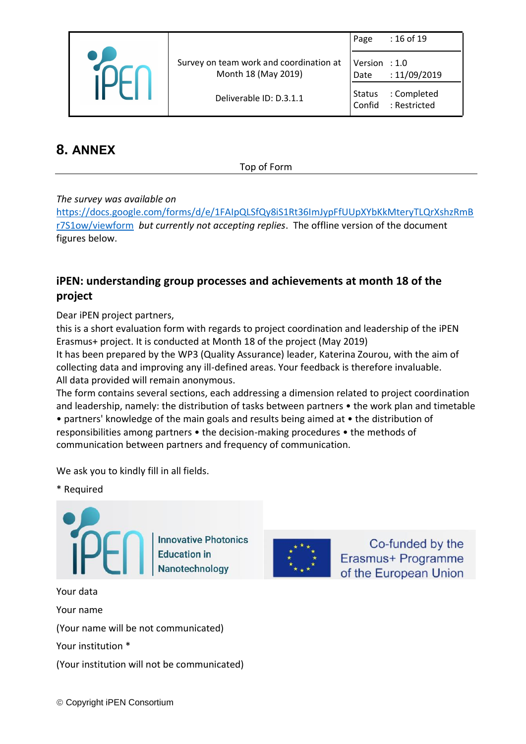|  |                                                                | Page                    | : 16 of 19                       |
|--|----------------------------------------------------------------|-------------------------|----------------------------------|
|  | Survey on team work and coordination at<br>Month 18 (May 2019) | Version<br>Date         | $\therefore$ 1.0<br>: 11/09/2019 |
|  | Deliverable ID: D.3.1.1                                        | <b>Status</b><br>Confid | : Completed<br>: Restricted      |

<span id="page-15-0"></span>**8. ANNEX**

Top of Form

### *The survey was available on*

[https://docs.google.com/forms/d/e/1FAIpQLSfQy8iS1Rt36ImJypFfUUpXYbKkMteryTLQrXshzRmB](https://docs.google.com/forms/d/e/1FAIpQLSfQy8iS1Rt36ImJypFfUUpXYbKkMteryTLQrXshzRmBr7S1ow/viewform) [r7S1ow/viewform](https://docs.google.com/forms/d/e/1FAIpQLSfQy8iS1Rt36ImJypFfUUpXYbKkMteryTLQrXshzRmBr7S1ow/viewform) *but currently not accepting replies*. The offline version of the document figures below.

## **iPEN: understanding group processes and achievements at month 18 of the project**

Dear iPEN project partners,

this is a short evaluation form with regards to project coordination and leadership of the iPEN Erasmus+ project. It is conducted at Month 18 of the project (May 2019)

It has been prepared by the WP3 (Quality Assurance) leader, Katerina Zourou, with the aim of collecting data and improving any ill-defined areas. Your feedback is therefore invaluable. All data provided will remain anonymous.

The form contains several sections, each addressing a dimension related to project coordination and leadership, namely: the distribution of tasks between partners • the work plan and timetable • partners' knowledge of the main goals and results being aimed at • the distribution of responsibilities among partners • the decision-making procedures • the methods of communication between partners and frequency of communication.

Co-funded by the

Erasmus+ Programme

of the European Union

We ask you to kindly fill in all fields.

\* Required



(Your name will be not communicated)

Your institution \*

Your name

(Your institution will not be communicated)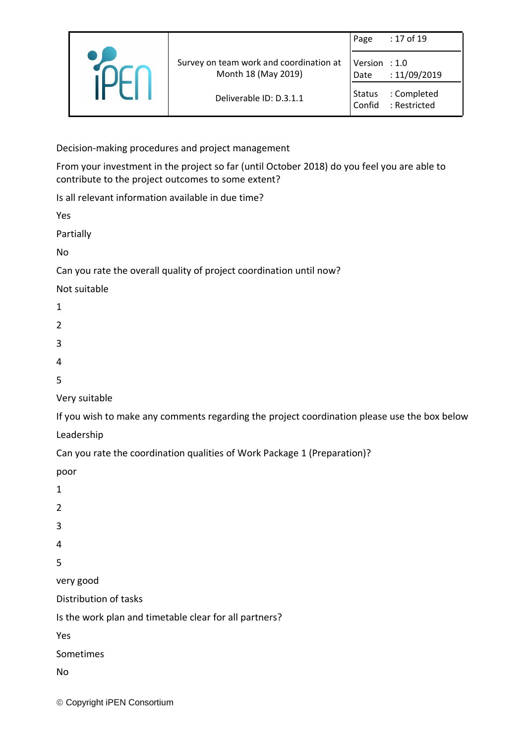|                                                                | Page                    | : 17 of 19                  |
|----------------------------------------------------------------|-------------------------|-----------------------------|
| Survey on team work and coordination at<br>Month 18 (May 2019) | Version $: 1.0$<br>Date | : 11/09/2019                |
| Deliverable ID: D.3.1.1                                        | <b>Status</b><br>Confid | : Completed<br>: Restricted |

Decision-making procedures and project management

From your investment in the project so far (until October 2018) do you feel you are able to contribute to the project outcomes to some extent?

Is all relevant information available in due time?

Yes

Partially

No

Can you rate the overall quality of project coordination until now?

Not suitable

- 1
- $\overline{2}$
- 
- 3
- 4
- 5

Very suitable

If you wish to make any comments regarding the project coordination please use the box below

Leadership

Can you rate the coordination qualities of Work Package 1 (Preparation)?

poor

- 1
- 2
- 3
- 4

5

very good

Distribution of tasks

Is the work plan and timetable clear for all partners?

Yes

Sometimes

No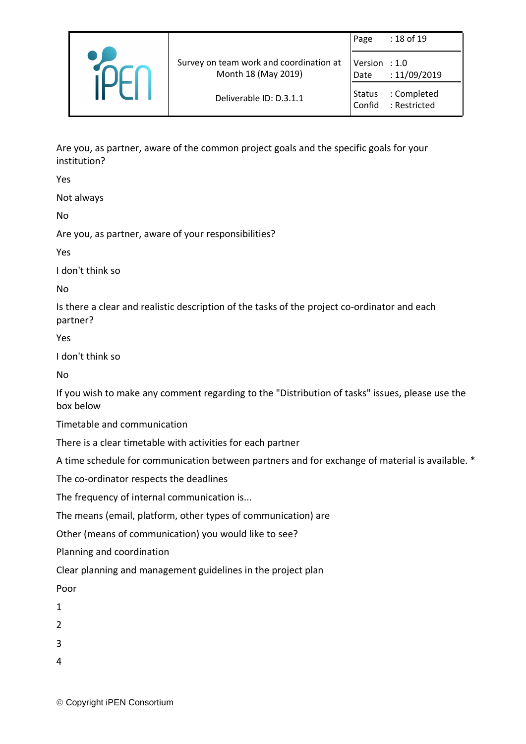|                                                                | Page                  | : 18 of 19                  |
|----------------------------------------------------------------|-----------------------|-----------------------------|
| Survey on team work and coordination at<br>Month 18 (May 2019) | Version : 1.0<br>Date | :11/09/2019                 |
| Deliverable ID: D.3.1.1                                        | Status<br>Confid      | : Completed<br>: Restricted |

Are you, as partner, aware of the common project goals and the specific goals for your institution?

Yes

Not always

No

Are you, as partner, aware of your responsibilities?

Yes

I don't think so

No

Is there a clear and realistic description of the tasks of the project co-ordinator and each partner?

Yes

I don't think so

No

If you wish to make any comment regarding to the "Distribution of tasks" issues, please use the box below

Timetable and communication

There is a clear timetable with activities for each partner

A time schedule for communication between partners and for exchange of material is available. \*

The co-ordinator respects the deadlines

The frequency of internal communication is...

The means (email, platform, other types of communication) are

Other (means of communication) you would like to see?

Planning and coordination

Clear planning and management guidelines in the project plan

Poor

1

2

3

4